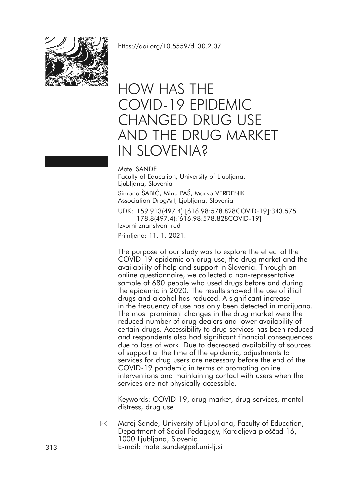<https://doi.org/10.5559/di.30.2.07>



# HOW HAS THE COVID-19 EPIDEMIC CHANGED DRUG USE AND THE DRUG MARKET IN SLOVENIA?

Matej SANDE Faculty of Education, University of Ljubljana, Ljubljana, Slovenia

Simona ŠABIĆ, Mina PAŠ, Marko VERDENIK Association DrogArt, Ljubljana, Slovenia

UDK: 159.913(497.4):[616.98:578.828COVID-19]:343.575 178.8(497.4):[616.98:578.828COVID-19] Izvorni znanstveni rad

Primljeno: 11. 1. 2021.

The purpose of our study was to explore the effect of the COVID-19 epidemic on drug use, the drug market and the availability of help and support in Slovenia. Through an online questionnaire, we collected a non-representative sample of 680 people who used drugs before and during the epidemic in 2020. The results showed the use of illicit drugs and alcohol has reduced. A significant increase in the frequency of use has only been detected in marijuana. The most prominent changes in the drug market were the reduced number of drug dealers and lower availability of certain drugs. Accessibility to drug services has been reduced and respondents also had significant financial consequences due to loss of work. Due to decreased availability of sources of support at the time of the epidemic, adjustments to services for drug users are necessary before the end of the COVID-19 pandemic in terms of promoting online interventions and maintaining contact with users when the services are not physically accessible.

Keywords: COVID-19, drug market, drug services, mental distress, drug use

Matej Sande, University of Ljubljana, Faculty of Education, Department of Social Pedagogy, Kardeljeva ploščad 16, 1000 Ljubljana, Slovenia  $\boxtimes$ 

313 E-mail: matej.sande@pef.uni-lj.si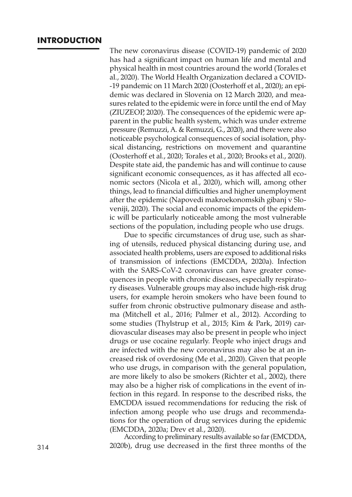# **INTRODUCTION**

The new coronavirus disease (COVID-19) pandemic of 2020 has had a significant impact on human life and mental and physical health in most countries around the world (Torales et al., 2020). The World Health Organization declared a COVID- -19 pandemic on 11 March 2020 (Oosterhoff et al., 2020); an epidemic was declared in Slovenia on 12 March 2020, and measures related to the epidemic were in force until the end of May (ZIUZEOP, 2020). The consequences of the epidemic were apparent in the public health system, which was under extreme pressure (Remuzzi, A. & Remuzzi, G., 2020), and there were also noticeable psychological consequences of social isolation, physical distancing, restrictions on movement and quarantine (Oosterhoff et al., 2020; Torales et al., 2020; Brooks et al., 2020). Despite state aid, the pandemic has and will continue to cause significant economic consequences, as it has affected all economic sectors (Nicola et al., 2020), which will, among other things, lead to financial difficulties and higher unemployment after the epidemic (Napovedi makroekonomskih gibanj v Sloveniji, 2020). The social and economic impacts of the epidemic will be particularly noticeable among the most vulnerable sections of the population, including people who use drugs.

Due to specific circumstances of drug use, such as sharing of utensils, reduced physical distancing during use, and associated health problems, users are exposed to additional risks of transmission of infections (EMCDDA, 2020a). Infection with the SARS-CoV-2 coronavirus can have greater consequences in people with chronic diseases, especially respiratory diseases. Vulnerable groups may also include high-risk drug users, for example heroin smokers who have been found to suffer from chronic obstructive pulmonary disease and asthma (Mitchell et al., 2016; Palmer et al., 2012). According to some studies (Thylstrup et al., 2015; Kim & Park, 2019) cardiovascular diseases may also be present in people who inject drugs or use cocaine regularly. People who inject drugs and are infected with the new coronavirus may also be at an increased risk of overdosing (Me et al., 2020). Given that people who use drugs, in comparison with the general population, are more likely to also be smokers (Richter et al., 2002), there may also be a higher risk of complications in the event of infection in this regard. In response to the described risks, the EMCDDA issued recommendations for reducing the risk of infection among people who use drugs and recommendations for the operation of drug services during the epidemic

(EMCDDA, 2020a; Drev et al., 2020). According to preliminary results available so far(EMCDDA, 314 2020b), drug use decreased in the first three months of the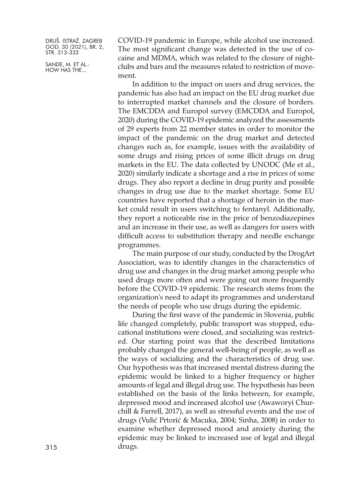SANDE, M. ET AL.: HOW HAS THE...

COVID-19 pandemic in Europe, while alcohol use increased. The most significant change was detected in the use of cocaine and MDMA, which was related to the closure of nightclubs and bars and the measures related to restriction of movement.

In addition to the impact on users and drug services, the pandemic has also had an impact on the EU drug market due to interrupted market channels and the closure of borders. The EMCDDA and Europol survey (EMCDDA and Europol, 2020) during the COVID-19 epidemic analyzed the assessments of 29 experts from 22 member states in order to monitor the impact of the pandemic on the drug market and detected changes such as, for example, issues with the availability of some drugs and rising prices of some illicit drugs on drug markets in the EU. The data collected by UNODC (Me et al., 2020) similarly indicate a shortage and a rise in prices of some drugs. They also report a decline in drug purity and possible changes in drug use due to the market shortage. Some EU countries have reported that a shortage of heroin in the market could result in users switching to fentanyl. Additionally, they report a noticeable rise in the price of benzodiazepines and an increase in their use, as well as dangers for users with difficult access to substitution therapy and needle exchange programmes.

The main purpose of our study, conducted by the DrogArt Association, was to identify changes in the characteristics of drug use and changes in the drug market among people who used drugs more often and were going out more frequently before the COVID-19 epidemic. The research stems from the organization's need to adapt its programmes and understand the needs of people who use drugs during the epidemic.

During the first wave of the pandemic in Slovenia, public life changed completely, public transport was stopped, educational institutions were closed, and socializing was restricted. Our starting point was that the described limitations probably changed the general well-being of people, as well as the ways of socializing and the characteristics of drug use. Our hypothesis was that increased mental distress during the epidemic would be linked to a higher frequency or higher amounts of legal and illegal drug use. The hypothesis has been established on the basis of the links between, for example, depressed mood and increased alcohol use (Awaworyi Churchill & Farrell, 2017), as well as stressful events and the use of drugs (Vulić Prtorić & Macuka, 2004; Sinha, 2008) in order to examine whether depressed mood and anxiety during the epidemic may be linked to increased use of legal and illegal drugs.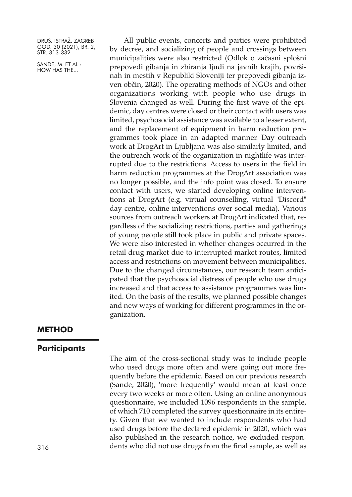SANDE, M. ET AL.: HOW HAS THE...

All public events, concerts and parties were prohibited by decree, and socializing of people and crossings between municipalities were also restricted (Odlok o začasni splošni prepovedi gibanja in zbiranja ljudi na javnih krajih, površinah in mestih v Republiki Sloveniji ter prepovedi gibanja izven občin, 2020). The operating methods of NGOs and other organizations working with people who use drugs in Slovenia changed as well. During the first wave of the epidemic, day centres were closed or their contact with users was limited, psychosocial assistance was available to a lesser extent, and the replacement of equipment in harm reduction programmes took place in an adapted manner. Day outreach work at DrogArt in Ljubljana was also similarly limited, and the outreach work of the organization in nightlife was interrupted due to the restrictions. Access to users in the field in harm reduction programmes at the DrogArt association was no longer possible, and the info point was closed. To ensure contact with users, we started developing online interventions at DrogArt (e.g. virtual counselling, virtual "Discord" day centre, online interventions over social media). Various sources from outreach workers at DrogArt indicated that, regardless of the socializing restrictions, parties and gatherings of young people still took place in public and private spaces. We were also interested in whether changes occurred in the retail drug market due to interrupted market routes, limited access and restrictions on movement between municipalities. Due to the changed circumstances, our research team anticipated that the psychosocial distress of people who use drugs increased and that access to assistance programmes was limited. On the basis of the results, we planned possible changes and new ways of working for different programmes in the organization.

# **METHOD**

# **Participants**

The aim of the cross-sectional study was to include people who used drugs more often and were going out more frequently before the epidemic. Based on our previous research (Sande, 2020), 'more frequently' would mean at least once every two weeks or more often. Using an online anonymous questionnaire, we included 1096 respondents in the sample, of which 710 completed the survey questionnaire in its entirety. Given that we wanted to include respondents who had used drugs before the declared epidemic in 2020, which was also published in the research notice, we excluded respon-316 dents who did not use drugs from the final sample, as well as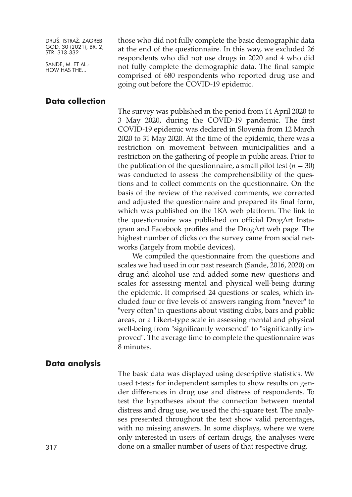SANDE, M. ET AL.: HOW HAS THE...

those who did not fully complete the basic demographic data at the end of the questionnaire. In this way, we excluded 26 respondents who did not use drugs in 2020 and 4 who did not fully complete the demographic data. The final sample comprised of 680 respondents who reported drug use and going out before the COVID-19 epidemic.

# **Data collection**

The survey was published in the period from 14 April 2020 to 3 May 2020, during the COVID-19 pandemic. The first COVID-19 epidemic was declared in Slovenia from 12 March 2020 to 31 May 2020. At the time of the epidemic, there was a restriction on movement between municipalities and a restriction on the gathering of people in public areas. Prior to the publication of the questionnaire, a small pilot test ( $n = 30$ ) was conducted to assess the comprehensibility of the questions and to collect comments on the questionnaire. On the basis of the review of the received comments, we corrected and adjusted the questionnaire and prepared its final form, which was published on the 1KA web platform. The link to the questionnaire was published on official DrogArt Instagram and Facebook profiles and the DrogArt web page. The highest number of clicks on the survey came from social networks (largely from mobile devices).

We compiled the questionnaire from the questions and scales we had used in our past research (Sande, 2016, 2020) on drug and alcohol use and added some new questions and scales for assessing mental and physical well-being during the epidemic. It comprised 24 questions or scales, which included four or five levels of answers ranging from "never" to "very often" in questions about visiting clubs, bars and public areas, or a Likert-type scale in assessing mental and physical well-being from "significantly worsened" to "significantly improved". The average time to complete the questionnaire was 8 minutes.

#### **Data analysis**

The basic data was displayed using descriptive statistics. We used t-tests for independent samples to show results on gender differences in drug use and distress of respondents. To test the hypotheses about the connection between mental distress and drug use, we used the chi-square test. The analyses presented throughout the text show valid percentages, with no missing answers. In some displays, where we were only interested in users of certain drugs, the analyses were done on a smaller number of users of that respective drug.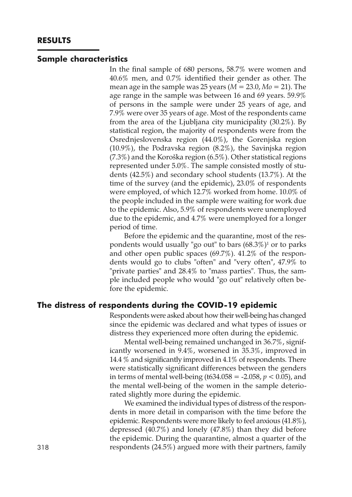#### **Sample characteristics**

In the final sample of 680 persons, 58.7% were women and 40.6% men, and 0.7% identified their gender as other. The mean age in the sample was 25 years  $(M = 23.0, M_0 = 21)$ . The age range in the sample was between 16 and 69 years. 59.9% of persons in the sample were under 25 years of age, and 7.9% were over 35 years of age. Most of the respondents came from the area of the Ljubljana city municipality (30.2%). By statistical region, the majority of respondents were from the Osrednjeslovenska region (44.0%), the Gorenjska region (10.9%), the Podravska region (8.2%), the Savinjska region (7.3%) and the Koroška region (6.5%). Other statistical regions represented under 5.0%. The sample consisted mostly of students (42.5%) and secondary school students (13.7%). At the time of the survey (and the epidemic), 23.0% of respondents were employed, of which 12.7% worked from home. 10.0% of the people included in the sample were waiting for work due to the epidemic. Also, 5.9% of respondents were unemployed due to the epidemic, and 4.7% were unemployed for a longer period of time.

Before the epidemic and the quarantine, most of the respondents would usually "go out" to bars  $(68.3\%)$ <sup>1</sup> or to parks and other open public spaces (69.7%). 41.2% of the respondents would go to clubs "often" and "very often", 47.9% to "private parties" and 28.4% to "mass parties". Thus, the sample included people who would "go out" relatively often before the epidemic.

#### **The distress of respondents during the COVID-19 epidemic**

Respondents were asked about how their well-being has changed since the epidemic was declared and what types of issues or distress they experienced more often during the epidemic.

Mental well-being remained unchanged in 36.7%, significantly worsened in 9.4%, worsened in 35.3%, improved in 14.4 % and significantly improved in 4.1% of respondents. There were statistically significant differences between the genders in terms of mental well-being (t634.058 = -2.058, *p <* 0.05), and the mental well-being of the women in the sample deteriorated slightly more during the epidemic.

We examined the individual types of distress of the respondents in more detail in comparison with the time before the epidemic. Respondents were more likely to feel anxious (41.8%), depressed (40.7%) and lonely (47.8%) than they did before the epidemic. During the quarantine, almost a quarter of the 318 respondents (24.5%) argued more with their partners, family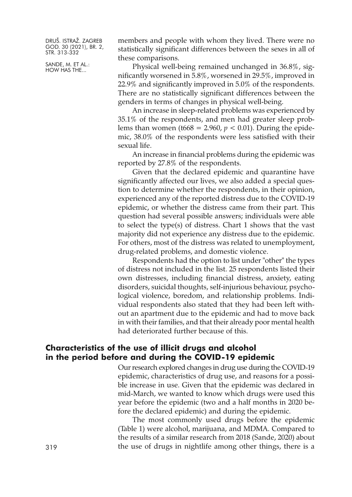SANDE, M. ET AL.: HOW HAS THE...

members and people with whom they lived. There were no statistically significant differences between the sexes in all of these comparisons.

Physical well-being remained unchanged in 36.8%, significantly worsened in 5.8%, worsened in 29.5%, improved in 22.9% and significantly improved in 5.0% of the respondents. There are no statistically significant differences between the genders in terms of changes in physical well-being.

An increase in sleep-related problems was experienced by 35.1% of the respondents, and men had greater sleep problems than women (t668 = 2.960,  $p < 0.01$ ). During the epidemic, 38.0% of the respondents were less satisfied with their sexual life.

An increase in financial problems during the epidemic was reported by 27.8% of the respondents.

Given that the declared epidemic and quarantine have significantly affected our lives, we also added a special question to determine whether the respondents, in their opinion, experienced any of the reported distress due to the COVID-19 epidemic, or whether the distress came from their part. This question had several possible answers; individuals were able to select the type(s) of distress. Chart 1 shows that the vast majority did not experience any distress due to the epidemic. For others, most of the distress was related to unemployment, drug-related problems, and domestic violence.

Respondents had the option to list under "other" the types of distress not included in the list. 25 respondents listed their own distresses, including financial distress, anxiety, eating disorders, suicidal thoughts, self-injurious behaviour, psychological violence, boredom, and relationship problems. Individual respondents also stated that they had been left without an apartment due to the epidemic and had to move back in with their families, and that their already poor mental health had deteriorated further because of this.

# **Characteristics of the use of illicit drugs and alcohol in the period before and during the COVID-19 epidemic**

Our research explored changes in drug use during the COVID-19 epidemic, characteristics of drug use, and reasons for a possible increase in use. Given that the epidemic was declared in mid-March, we wanted to know which drugs were used this year before the epidemic (two and a half months in 2020 before the declared epidemic) and during the epidemic.

The most commonly used drugs before the epidemic (Table 1) were alcohol, marijuana, and MDMA. Compared to the results of a similar research from 2018 (Sande, 2020) about the use of drugs in nightlife among other things, there is a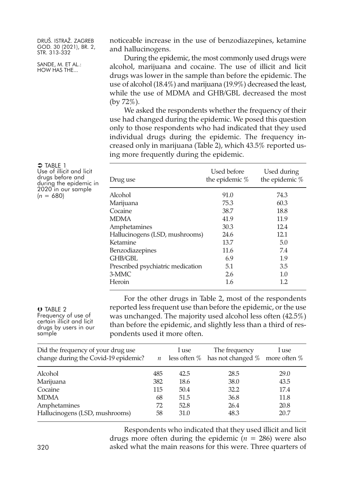SANDE, M. ET AL.: HOW HAS THE...

noticeable increase in the use of benzodiazepines, ketamine and hallucinogens.

During the epidemic, the most commonly used drugs were alcohol, marijuana and cocaine. The use of illicit and licit drugs was lower in the sample than before the epidemic. The use of alcohol (18.4%) and marijuana (19.9%) decreased the least, while the use of MDMA and GHB/GBL decreased the most (by 72%).

We asked the respondents whether the frequency of their use had changed during the epidemic. We posed this question only to those respondents who had indicated that they used individual drugs during the epidemic. The frequency increased only in marijuana (Table 2), which 43.5% reported using more frequently during the epidemic.

| $\supset$ Table 1<br>Use of illicit and licit<br>drugs before and<br>during the epidemic in<br>2020 in our sample<br>$(n = 680)$ | Drug use                          | Used before<br>the epidemic % | Used during<br>the epidemic $%$ |
|----------------------------------------------------------------------------------------------------------------------------------|-----------------------------------|-------------------------------|---------------------------------|
|                                                                                                                                  | Alcohol                           | 91.0                          | 74.3                            |
|                                                                                                                                  | Marijuana                         | 75.3                          | 60.3                            |
|                                                                                                                                  | Cocaine                           | 38.7                          | 18.8                            |
|                                                                                                                                  | <b>MDMA</b>                       | 41.9                          | 11.9                            |
|                                                                                                                                  | Amphetamines                      | 30.3                          | 12.4                            |
|                                                                                                                                  | Hallucinogens (LSD, mushrooms)    | 24.6                          | 12.1                            |
|                                                                                                                                  | Ketamine                          | 13.7                          | 5.0                             |
|                                                                                                                                  | <b>Benzodiazepines</b>            | 11.6                          | 7.4                             |
|                                                                                                                                  | GHB/GBL                           | 6.9                           | 1.9                             |
|                                                                                                                                  | Prescribed psychiatric medication | 5.1                           | 3.5                             |
|                                                                                                                                  | 3-MMC                             | 2.6                           | $1.0\,$                         |
|                                                                                                                                  | Heroin                            | 1.6                           | 1.2                             |
|                                                                                                                                  |                                   |                               |                                 |

 TABLE 2 Frequency of use of certain illicit and licit drugs by users in our sample

For the other drugs in Table 2, most of the respondents reported less frequent use than before the epidemic, or the use was unchanged. The majority used alcohol less often (42.5%) than before the epidemic, and slightly less than a third of respondents used it more often.

| Did the frequency of your drug use<br>change during the Covid-19 epidemic? | $\mathfrak n$ | I use | The frequency<br>less often $\%$ has not changed $\%$ more often $\%$ | I use |
|----------------------------------------------------------------------------|---------------|-------|-----------------------------------------------------------------------|-------|
| Alcohol                                                                    | 485           | 42.5  | 28.5                                                                  | 29.0  |
| Marijuana                                                                  | 382           | 18.6  | 38.0                                                                  | 43.5  |
| Cocaine                                                                    | 115           | 50.4  | 32.2                                                                  | 17.4  |
| <b>MDMA</b>                                                                | 68            | 51.5  | 36.8                                                                  | 11.8  |
| Amphetamines                                                               | 72            | 52.8  | 26.4                                                                  | 20.8  |
| Hallucinogens (LSD, mushrooms)                                             | 58            | 31.0  | 48.3                                                                  | 20.7  |

Respondents who indicated that they used illicit and licit drugs more often during the epidemic (*n =* 286) were also 320 asked what the main reasons for this were. Three quarters of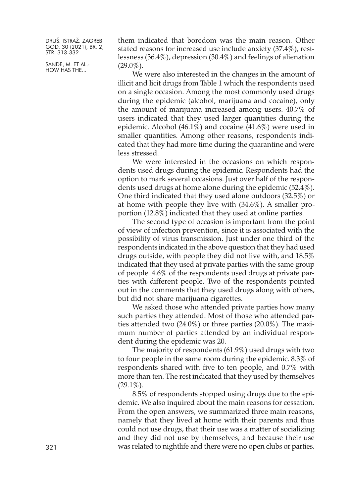SANDE, M. ET AL.: HOW HAS THE...

them indicated that boredom was the main reason. Other stated reasons for increased use include anxiety (37.4%), restlessness (36.4%), depression (30.4%) and feelings of alienation  $(29.0\%)$ .

We were also interested in the changes in the amount of illicit and licit drugs from Table 1 which the respondents used on a single occasion. Among the most commonly used drugs during the epidemic (alcohol, marijuana and cocaine), only the amount of marijuana increased among users. 40.7% of users indicated that they used larger quantities during the epidemic. Alcohol (46.1%) and cocaine (41.6%) were used in smaller quantities. Among other reasons, respondents indicated that they had more time during the quarantine and were less stressed.

We were interested in the occasions on which respondents used drugs during the epidemic. Respondents had the option to mark several occasions. Just over half of the respondents used drugs at home alone during the epidemic (52.4%). One third indicated that they used alone outdoors (32.5%) or at home with people they live with (34.6%). A smaller proportion (12.8%) indicated that they used at online parties.

The second type of occasion is important from the point of view of infection prevention, since it is associated with the possibility of virus transmission. Just under one third of the respondents indicated in the above question that they had used drugs outside, with people they did not live with, and 18.5% indicated that they used at private parties with the same group of people. 4.6% of the respondents used drugs at private parties with different people. Two of the respondents pointed out in the comments that they used drugs along with others, but did not share marijuana cigarettes.

We asked those who attended private parties how many such parties they attended. Most of those who attended parties attended two (24.0%) or three parties (20.0%). The maximum number of parties attended by an individual respondent during the epidemic was 20.

The majority of respondents (61.9%) used drugs with two to four people in the same room during the epidemic. 8.3% of respondents shared with five to ten people, and 0.7% with more than ten. The rest indicated that they used by themselves  $(29.1\%)$ .

8.5% of respondents stopped using drugs due to the epidemic. We also inquired about the main reasons for cessation. From the open answers, we summarized three main reasons, namely that they lived at home with their parents and thus could not use drugs, that their use was a matter of socializing and they did not use by themselves, and because their use was related to nightlife and there were no open clubs or parties.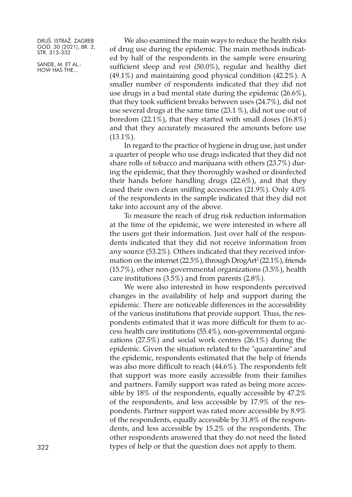SANDE, M. ET AL.: HOW HAS THE...

We also examined the main ways to reduce the health risks of drug use during the epidemic. The main methods indicated by half of the respondents in the sample were ensuring sufficient sleep and rest (50.0%), regular and healthy diet (49.1%) and maintaining good physical condition (42.2%). A smaller number of respondents indicated that they did not use drugs in a bad mental state during the epidemic (26.6%), that they took sufficient breaks between uses (24.7%), did not use several drugs at the same time (23.1 %), did not use out of boredom (22.1%), that they started with small doses (16.8%) and that they accurately measured the amounts before use  $(13.1\%)$ .

In regard to the practice of hygiene in drug use, just under a quarter of people who use drugs indicated that they did not share rolls of tobacco and marijuana with others (23.7%) during the epidemic, that they thoroughly washed or disinfected their hands before handling drugs (22.6%), and that they used their own clean sniffing accessories (21.9%). Only 4.0% of the respondents in the sample indicated that they did not take into account any of the above.

To measure the reach of drug risk reduction information at the time of the epidemic, we were interested in where all the users got their information. Just over half of the respondents indicated that they did not receive information from any source (53.2%). Others indicated that they received information on the internet (22.5%), through DrogArt <sup>2</sup> (22.1%), friends (15.7%), other non-governmental organizations (3.5%), health care institutions (3.5%) and from parents (2.8%).

We were also interested in how respondents perceived changes in the availability of help and support during the epidemic. There are noticeable differences in the accessibility of the various institutions that provide support. Thus, the respondents estimated that it was more difficult for them to access health care institutions (55.4%), non-governmental organizations (27.5%) and social work centres (26.1%) during the epidemic. Given the situation related to the "quarantine" and the epidemic, respondents estimated that the help of friends was also more difficult to reach (44.6%). The respondents felt that support was more easily accessible from their families and partners. Family support was rated as being more accessible by 18% of the respondents, equally accessible by 47.2% of the respondents, and less accessible by 17.9% of the respondents. Partner support was rated more accessible by 8.9% of the respondents, equally accessible by 31.8% of the respondents, and less accessible by 15.2% of the respondents. The other respondents answered that they do not need the listed 322 types of help or that the question does not apply to them.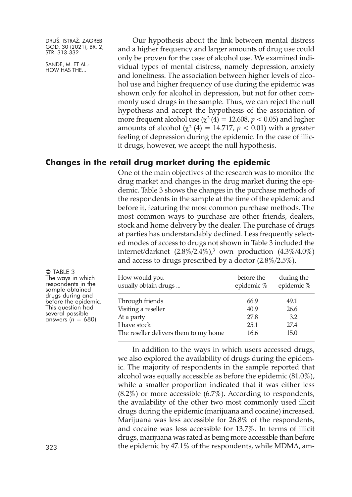SANDE, M. ET AL.: HOW HAS THE...

Our hypothesis about the link between mental distress and a higher frequency and larger amounts of drug use could only be proven for the case of alcohol use. We examined individual types of mental distress, namely depression, anxiety and loneliness. The association between higher levels of alcohol use and higher frequency of use during the epidemic was shown only for alcohol in depression, but not for other commonly used drugs in the sample. Thus, we can reject the null hypothesis and accept the hypothesis of the association of more frequent alcohol use  $(\gamma^2 (4) = 12.608, p < 0.05)$  and higher amounts of alcohol ( $\chi^2$  (4) = 14.717,  $p < 0.01$ ) with a greater feeling of depression during the epidemic. In the case of illicit drugs, however, we accept the null hypothesis.

# **Changes in the retail drug market during the epidemic**

One of the main objectives of the research was to monitor the drug market and changes in the drug market during the epidemic. Table 3 shows the changes in the purchase methods of the respondents in the sample at the time of the epidemic and before it, featuring the most common purchase methods. The most common ways to purchase are other friends, dealers, stock and home delivery by the dealer. The purchase of drugs at parties has understandably declined. Less frequently selected modes of access to drugs not shown in Table 3 included the internet/darknet (2.8%/2.4%), $^3$  own production (4.3%/4.0%) and access to drugs prescribed by a doctor (2.8%/2.5%).

| How would you<br>usually obtain drugs | before the<br>epidemic % | during the<br>epidemic % |
|---------------------------------------|--------------------------|--------------------------|
| Through friends                       | 66.9                     | 49.1                     |
| Visiting a reseller                   | 40.9                     | 26.6                     |
| At a party                            | 27.8                     | 3.2                      |
| I have stock                          | 25.1                     | 27.4                     |
| The reseller delivers them to my home | 16.6                     | 15.0                     |

In addition to the ways in which users accessed drugs, we also explored the availability of drugs during the epidemic. The majority of respondents in the sample reported that alcohol was equally accessible as before the epidemic (81.0%), while a smaller proportion indicated that it was either less  $(8.2\%)$  or more accessible  $(6.7\%)$ . According to respondents, the availability of the other two most commonly used illicit drugs during the epidemic (marijuana and cocaine) increased. Marijuana was less accessible for 26.8% of the respondents, and cocaine was less accessible for 13.7%. In terms of illicit drugs, marijuana was rated as being more accessible than before the epidemic by 47.1% of the respondents, while MDMA, am-

 $\bigcirc$  TABLE 3 The ways in which respondents in the sample obtained drugs during and<br>before the epidemic. This question had several possible<br>answers ( $n = 680$ )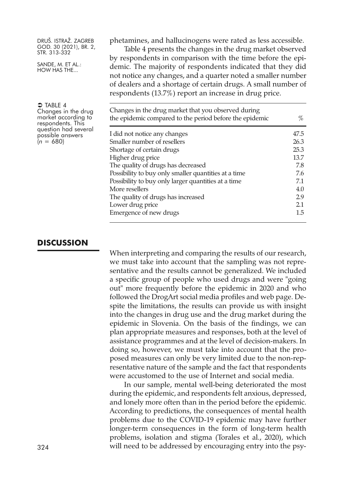SANDE, M. ET AL.: HOW HAS THE...

phetamines, and hallucinogens were rated as less accessible.

Table 4 presents the changes in the drug market observed by respondents in comparison with the time before the epidemic. The majority of respondents indicated that they did not notice any changes, and a quarter noted a smaller number of dealers and a shortage of certain drugs. A small number of respondents (13.7%) report an increase in drug price.

| Changes in the drug market that you observed during<br>the epidemic compared to the period before the epidemic |      |
|----------------------------------------------------------------------------------------------------------------|------|
| I did not notice any changes                                                                                   | 47.5 |
| Smaller number of resellers                                                                                    | 26.3 |
| Shortage of certain drugs                                                                                      | 25.3 |
| Higher drug price                                                                                              | 13.7 |
| The quality of drugs has decreased                                                                             |      |
| Possibility to buy only smaller quantities at a time                                                           |      |
| Possibility to buy only larger quantities at a time                                                            |      |
| More resellers                                                                                                 |      |
| The quality of drugs has increased                                                                             | 2.9  |
| Lower drug price                                                                                               | 2.1  |
| Emergence of new drugs                                                                                         | 1.5  |

# $\bigcirc$  Table 4 Changes in the drug<br>market according to<br>respondents. This<br>question had several possible answers  $(n = 680)$

# **DISCUSSION**

When interpreting and comparing the results of our research, we must take into account that the sampling was not representative and the results cannot be generalized. We included a specific group of people who used drugs and were "going out" more frequently before the epidemic in 2020 and who followed the DrogArt social media profiles and web page. Despite the limitations, the results can provide us with insight into the changes in drug use and the drug market during the epidemic in Slovenia. On the basis of the findings, we can plan appropriate measures and responses, both at the level of assistance programmes and at the level of decision-makers. In doing so, however, we must take into account that the proposed measures can only be very limited due to the non-representative nature of the sample and the fact that respondents were accustomed to the use of Internet and social media.

In our sample, mental well-being deteriorated the most during the epidemic, and respondents felt anxious, depressed, and lonely more often than in the period before the epidemic. According to predictions, the consequences of mental health problems due to the COVID-19 epidemic may have further longer-term consequences in the form of long-term health problems, isolation and stigma (Torales et al., 2020), which 324 will need to be addressed by encouraging entry into the psy-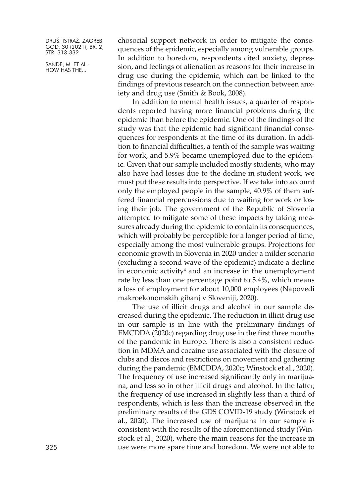SANDE, M. ET AL.: HOW HAS THE...

chosocial support network in order to mitigate the consequences of the epidemic, especially among vulnerable groups. In addition to boredom, respondents cited anxiety, depression, and feelings of alienation as reasons for their increase in drug use during the epidemic, which can be linked to the findings of previous research on the connection between anxiety and drug use (Smith & Book, 2008).

In addition to mental health issues, a quarter of respondents reported having more financial problems during the epidemic than before the epidemic. One of the findings of the study was that the epidemic had significant financial consequences for respondents at the time of its duration. In addition to financial difficulties, a tenth of the sample was waiting for work, and 5.9% became unemployed due to the epidemic. Given that our sample included mostly students, who may also have had losses due to the decline in student work, we must put these results into perspective. If we take into account only the employed people in the sample, 40.9% of them suffered financial repercussions due to waiting for work or losing their job. The government of the Republic of Slovenia attempted to mitigate some of these impacts by taking measures already during the epidemic to contain its consequences, which will probably be perceptible for a longer period of time, especially among the most vulnerable groups. Projections for economic growth in Slovenia in 2020 under a milder scenario (excluding a second wave of the epidemic) indicate a decline in economic activity<sup>4</sup> and an increase in the unemployment rate by less than one percentage point to 5.4%, which means a loss of employment for about 10,000 employees (Napovedi makroekonomskih gibanj v Sloveniji, 2020).

The use of illicit drugs and alcohol in our sample decreased during the epidemic. The reduction in illicit drug use in our sample is in line with the preliminary findings of EMCDDA (2020c) regarding drug use in the first three months of the pandemic in Europe. There is also a consistent reduction in MDMA and cocaine use associated with the closure of clubs and discos and restrictions on movement and gathering during the pandemic (EMCDDA, 2020c; Winstock et al., 2020). The frequency of use increased significantly only in marijuana, and less so in other illicit drugs and alcohol. In the latter, the frequency of use increased in slightly less than a third of respondents, which is less than the increase observed in the preliminary results of the GDS COVID-19 study (Winstock et al., 2020). The increased use of marijuana in our sample is consistent with the results of the aforementioned study (Winstock et al., 2020), where the main reasons for the increase in use were more spare time and boredom. We were not able to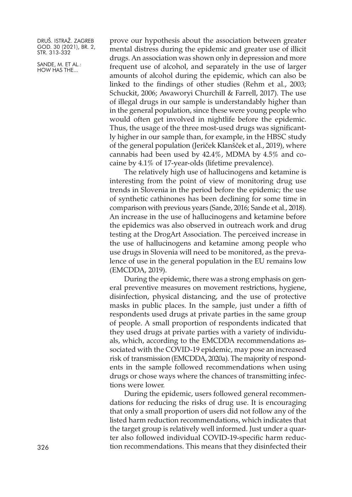SANDE, M. ET AL.: HOW HAS THE...

prove our hypothesis about the association between greater mental distress during the epidemic and greater use of illicit drugs. An association was shown only in depression and more frequent use of alcohol, and separately in the use of larger amounts of alcohol during the epidemic, which can also be linked to the findings of other studies (Rehm et al., 2003; Schuckit, 2006; Awaworyi Churchill & Farrell, 2017). The use of illegal drugs in our sample is understandably higher than in the general population, since these were young people who would often get involved in nightlife before the epidemic. Thus, the usage of the three most-used drugs was significantly higher in our sample than, for example, in the HBSC study of the general population (Jeriček Klanšček et al., 2019), where cannabis had been used by 42.4%, MDMA by 4.5% and cocaine by 4.1% of 17-year-olds (lifetime prevalence).

The relatively high use of hallucinogens and ketamine is interesting from the point of view of monitoring drug use trends in Slovenia in the period before the epidemic; the use of synthetic cathinones has been declining for some time in comparison with previous years (Sande, 2016; Sande et al., 2018). An increase in the use of hallucinogens and ketamine before the epidemics was also observed in outreach work and drug testing at the DrogArt Association. The perceived increase in the use of hallucinogens and ketamine among people who use drugs in Slovenia will need to be monitored, as the prevalence of use in the general population in the EU remains low (EMCDDA, 2019).

During the epidemic, there was a strong emphasis on general preventive measures on movement restrictions, hygiene, disinfection, physical distancing, and the use of protective masks in public places. In the sample, just under a fifth of respondents used drugs at private parties in the same group of people. A small proportion of respondents indicated that they used drugs at private parties with a variety of individuals, which, according to the EMCDDA recommendations associated with the COVID-19 epidemic, may pose an increased risk of transmission (EMCDDA, 2020a). The majority of respondents in the sample followed recommendations when using drugs or chose ways where the chances of transmitting infections were lower.

During the epidemic, users followed general recommendations for reducing the risks of drug use. It is encouraging that only a small proportion of users did not follow any of the listed harm reduction recommendations, which indicates that the target group is relatively well informed. Just under a quarter also followed individual COVID-19-specific harm reduc-326 tion recommendations. This means that they disinfected their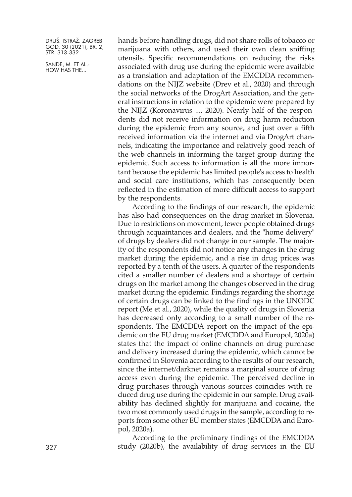SANDE, M. ET AL.: HOW HAS THE...

hands before handling drugs, did not share rolls of tobacco or marijuana with others, and used their own clean sniffing utensils. Specific recommendations on reducing the risks associated with drug use during the epidemic were available as a translation and adaptation of the EMCDDA recommendations on the NIJZ website (Drev et al., 2020) and through the social networks of the DrogArt Association, and the general instructions in relation to the epidemic were prepared by the NIJZ (Koronavirus ..., 2020). Nearly half of the respondents did not receive information on drug harm reduction during the epidemic from any source, and just over a fifth received information via the internet and via DrogArt channels, indicating the importance and relatively good reach of the web channels in informing the target group during the epidemic. Such access to information is all the more important because the epidemic has limited people's access to health and social care institutions, which has consequently been reflected in the estimation of more difficult access to support by the respondents.

According to the findings of our research, the epidemic has also had consequences on the drug market in Slovenia. Due to restrictions on movement, fewer people obtained drugs through acquaintances and dealers, and the "home delivery" of drugs by dealers did not change in our sample. The majority of the respondents did not notice any changes in the drug market during the epidemic, and a rise in drug prices was reported by a tenth of the users. A quarter of the respondents cited a smaller number of dealers and a shortage of certain drugs on the market among the changes observed in the drug market during the epidemic. Findings regarding the shortage of certain drugs can be linked to the findings in the UNODC report (Me et al., 2020), while the quality of drugs in Slovenia has decreased only according to a small number of the respondents. The EMCDDA report on the impact of the epidemic on the EU drug market (EMCDDA and Europol, 2020a) states that the impact of online channels on drug purchase and delivery increased during the epidemic, which cannot be confirmed in Slovenia according to the results of our research, since the internet/darknet remains a marginal source of drug access even during the epidemic. The perceived decline in drug purchases through various sources coincides with reduced drug use during the epidemic in our sample. Drug availability has declined slightly for marijuana and cocaine, the two most commonly used drugs in the sample, according to reports from some other EU member states (EMCDDA and Europol, 2020a).

According to the preliminary findings of the EMCDDA study (2020b), the availability of drug services in the EU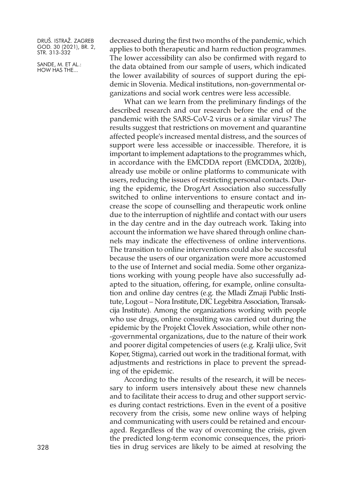SANDE, M. ET AL.: HOW HAS THE...

decreased during the first two months of the pandemic, which applies to both therapeutic and harm reduction programmes. The lower accessibility can also be confirmed with regard to the data obtained from our sample of users, which indicated the lower availability of sources of support during the epidemic in Slovenia. Medical institutions, non-governmental organizations and social work centres were less accessible.

What can we learn from the preliminary findings of the described research and our research before the end of the pandemic with the SARS-CoV-2 virus or a similar virus? The results suggest that restrictions on movement and quarantine affected people's increased mental distress, and the sources of support were less accessible or inaccessible. Therefore, it is important to implement adaptations to the programmes which, in accordance with the EMCDDA report (EMCDDA, 2020b), already use mobile or online platforms to communicate with users, reducing the issues of restricting personal contacts. During the epidemic, the DrogArt Association also successfully switched to online interventions to ensure contact and increase the scope of counselling and therapeutic work online due to the interruption of nightlife and contact with our users in the day centre and in the day outreach work. Taking into account the information we have shared through online channels may indicate the effectiveness of online interventions. The transition to online interventions could also be successful because the users of our organization were more accustomed to the use of Internet and social media. Some other organizations working with young people have also successfully adapted to the situation, offering, for example, online consultation and online day centres (e.g. the Mladi Zmaji Public Institute, Logout – Nora Institute, DIC Legebitra Association, Transakcija Institute). Among the organizations working with people who use drugs, online consulting was carried out during the epidemic by the Projekt Človek Association, while other non- -governmental organizations, due to the nature of their work and poorer digital competencies of users (e.g. Kralji ulice, Svit Koper, Stigma), carried out work in the traditional format, with adjustments and restrictions in place to prevent the spreading of the epidemic.

According to the results of the research, it will be necessary to inform users intensively about these new channels and to facilitate their access to drug and other support services during contact restrictions. Even in the event of a positive recovery from the crisis, some new online ways of helping and communicating with users could be retained and encouraged. Regardless of the way of overcoming the crisis, given the predicted long-term economic consequences, the priori-328 ties in drug services are likely to be aimed at resolving the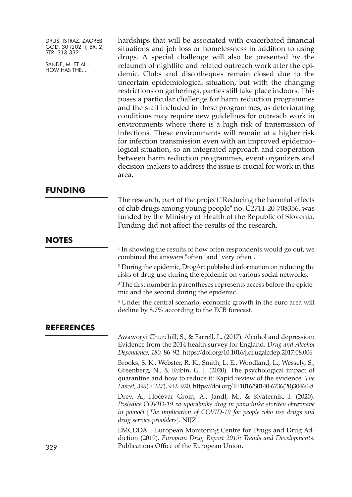SANDE, M. ET AL.: HOW HAS THE...

hardships that will be associated with exacerbated financial situations and job loss or homelessness in addition to using drugs. A special challenge will also be presented by the relaunch of nightlife and related outreach work after the epidemic. Clubs and discotheques remain closed due to the uncertain epidemiological situation, but with the changing restrictions on gatherings, parties still take place indoors. This poses a particular challenge for harm reduction programmes and the staff included in these programmes, as deteriorating conditions may require new guidelines for outreach work in environments where there is a high risk of transmission of infections. These environments will remain at a higher risk for infection transmission even with an improved epidemiological situation, so an integrated approach and cooperation between harm reduction programmes, event organizers and decision-makers to address the issue is crucial for work in this area.

# **FUNDING**

The research, part of the project "Reducing the harmful effects of club drugs among young people" no. C2711-20-708356, was funded by the Ministry of Health of the Republic of Slovenia. Funding did not affect the results of the research.

# **NOTES**

<sup>1</sup> In showing the results of how often respondents would go out, we combined the answers "often" and "very often".

<sup>2</sup> During the epidemic, DrogArt published information on reducing the risks of drug use during the epidemic on various social networks.

<sup>3</sup> The first number in parentheses represents access before the epidemic and the second during the epidemic.

<sup>4</sup> Under the central scenario, economic growth in the euro area will decline by 8.7% according to the ECB forecast.

# **REFERENCES**

Awaworyi Churchill, S., & Farrell, L. (2017). Alcohol and depression: Evidence from the 2014 health survey for England. *Drug and Alcohol Dependence, 180,* 86–92. <https://doi.org/10.1016/j.drugalcdep.2017.08.006>

Brooks, S. K., Webster, R. K., Smith, L. E., Woodland, L., Wessely, S., Greenberg, N., & Rubin, G. J. (2020). The psychological impact of quarantine and how to reduce it: Rapid review of the evidence. *The Lancet, 395*(10227), 912–920. [https://doi.org/10.1016/S0140-6736\(20\)30460-8](https://doi.org/10.1016/S0140-6736(20)30460-8)

Drev, A., Hočevar Grom, A., Jandl, M., & Kvaternik, I. (2020). *Posledice COVID-19 za uporabnike drog in ponudnike storitev obravnave in pomoči* [*The implication of COVID-19 for people who use drugs and drug service providers*]. NIJZ.

EMCDDA – European Monitoring Centre for Drugs and Drug Addiction (2019). *European Drug Report 2019: Trends and Developments*. Publications Office of the European Union.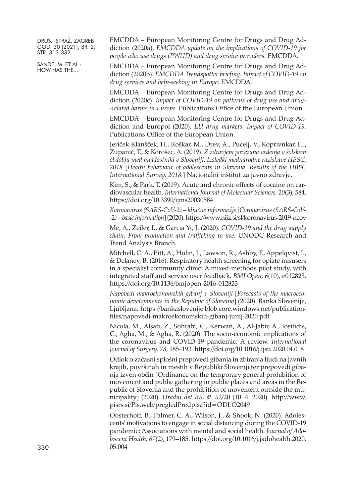SANDE, M. ET AL.: HOW HAS THE...

EMCDDA – European Monitoring Centre for Drugs and Drug Addiction (2020a). *EMCDDA update on the implications of COVID-19 for people who use drugs (PWUD) and drug service providers*. EMCDDA.

EMCDDA – European Monitoring Centre for Drugs and Drug Addiction (2020b). *EMCDDA Trendspotter briefing. Impact of COVID-19 on drug services and help-seeking in Europe*. EMCDDA.

EMCDDA – European Monitoring Centre for Drugs and Drug Addiction (2020c). *Impact of COVID-19 on patterns of drug use and drug- -related harms in Europe*. Publications Office of the European Union.

EMCDDA – European Monitoring Centre for Drugs and Drug Addiction and Europol (2020). *EU drug markets: Impact of COVID-19.* Publications Office of the European Union.

Jeriček Klanšček, H., Roškar, M., Drev, A., Pucelj, V., Koprivnkar, H., Zupanič, T., & Korošec, A. (2019). *Z zdravjem povezana vedenja v šolskem obdobju med mladostniki v Sloveniji. Izsledki mednarodne raziskave HBSC, 2018* [*Health behaviour of adolescents in Slovenia. Results of the HBSC International Survey, 2018.*] Nacionalni inštitut za javno zdravje.

Kim, S., & Park, T. (2019). Acute and chronic effects of cocaine on cardiovascular health. *International Journal of Molecular Sciences, 20*(3), 584. <https://doi.org/10.3390/ijms20030584>

*Koronavirus (SARS-CoV-2) – ključne informacije* [*Coronavirus (SARS-CoV- -2) – basicinformation*](2020). <https://www.nijz.si/sl/koronavirus-2019-ncov>

Me, A., Zeiler, I., & Garcia Yi, J. (2020). *COVID-19 and the drug supply chain: From production and trafficking to use*. UNODC Research and Trend Analysis Branch.

Mitchell, C. A., Pitt, A., Hulin, J., Lawson, R., Ashby, F., Appelqvist, I., & Delaney, B. (2016). Respiratory health screening for opiate misusers in a specialist community clinic: A mixed-methods pilot study, with integrated staff and service user feedback. *BMJ Open, 6*(10), e012823. <https://doi.org/10.1136/bmjopen-2016-012823>

*Napovedi makroekonomskih gibanj v Sloveniji* [*Forecasts of the macroeconomic developments in the Republic of Slovenia*] (2020). Banka Slovenije, Ljubljana. [https://bankaslovenije.blob.core.windows.net/publication](https://bankaslovenije.blob.core.windows.net/publication-files/napovedi-makroekonomskih-gibanj-junij-2020.pdf)[files/napovedi-makroekonomskih-gibanj-junij-2020.pdf](https://bankaslovenije.blob.core.windows.net/publication-files/napovedi-makroekonomskih-gibanj-junij-2020.pdf)

Nicola, M., Alsafi, Z., Sohrabi, C., Kerwan, A., Al-Jabir, A., Iosifidis, C., Agha, M., & Agha, R. (2020). The socio-economic implications of the coronavirus and COVID-19 pandemic: A review. *International Journal of Surgery, 78*, 185–193. <https://doi.org/10.1016/j.ijsu.2020.04.018>

Odlok o začasni splošni prepovedi gibanja in zbiranja ljudi na javnih krajih, površinah in mestih v Republiki Sloveniji ter prepovedi gibanja izven občin [Ordinance on the temporary general prohibition of movement and public gathering in public places and areas in the Republic of Slovenia and the prohibition of movement outside the municipality] (2020). *Uradni list RS, št. 52*/20 (10. 4. 2020). [http://www.](http://www.pisrs.si/Pis.web/pregledPredpisa?id=ODLO2049) [pisrs.si/Pis.web/pregledPredpisa?id=ODLO2049](http://www.pisrs.si/Pis.web/pregledPredpisa?id=ODLO2049)

Oosterhoff, B., Palmer, C. A., Wilson, J., & Shook, N. (2020). Adolescents' motivations to engage in social distancing during the COVID-19 pandemic: Associations with mental and social health. *Journal of Adolescent Health, 67*(2), 179–185. [https://doi.org/10.1016/j.jadohealth.2020.](https://doi.org/10.1016/j.jadohealth.2020.05.004) 330 [05.004](https://doi.org/10.1016/j.jadohealth.2020.05.004)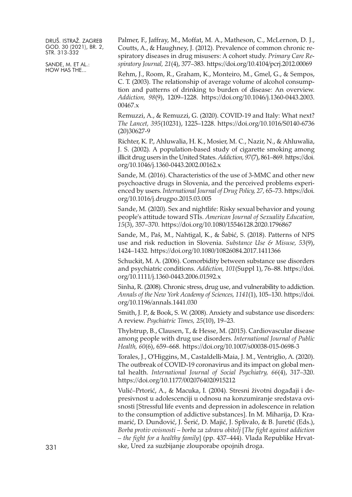SANDE, M. ET AL.: HOW HAS THE...

Palmer, F., Jaffray, M., Moffat, M. A., Matheson, C., McLernon, D. J., Coutts, A., & Haughney, J. (2012). Prevalence of common chronic respiratory diseases in drug misusers: A cohort study. *Primary Care Respiratory Journal, 21*(4), 377–383. <https://doi.org/10.4104/pcrj.2012.00069>

Rehm, J., Room, R., Graham, K., Monteiro, M., Gmel, G., & Sempos, C. T. (2003). The relationship of average volume of alcohol consumption and patterns of drinking to burden of disease: An overview. *Addiction, 98*(9), 1209–1228. [https://doi.org/10.1046/j.1360-0443.2003.](https://doi.org/10.1046/j.1360-0443.2003.00467.x) [00467.x](https://doi.org/10.1046/j.1360-0443.2003.00467.x)

Remuzzi, A., & Remuzzi, G. (2020). COVID-19 and Italy: What next? *The Lancet, 395*(10231), 1225–1228. [https://doi.org/10.1016/S0140-6736](https://doi.org/10.1016/S0140-6736(20)30627-9) [\(20\)30627-9](https://doi.org/10.1016/S0140-6736(20)30627-9)

Richter, K. P., Ahluwalia, H. K., Mosier, M. C., Nazir, N., & Ahluwalia, J. S. (2002). A population-based study of cigarette smoking among illicit drug users in the United States.*Addiction, 97*(7), 861–869. [https://doi.](https://doi.org/10.1046/j.1360-0443.2002.00162.x) [org/10.1046/j.1360-0443.2002.00162.x](https://doi.org/10.1046/j.1360-0443.2002.00162.x)

Sande, M. (2016). Characteristics of the use of 3-MMC and other new psychoactive drugs in Slovenia, and the perceived problems experienced by users. *International Journal of Drug Policy, 27,* 65–73. [https://doi.](https://doi.org/10.1016/j.drugpo.2015.03.005) [org/10.1016/j.drugpo.2015.03.005](https://doi.org/10.1016/j.drugpo.2015.03.005)

Sande, M. (2020). Sex and nightlife: Risky sexual behavior and young people's attitude toward STIs. *American Journal of Sexuality Education, 15*(3), 357–370. <https://doi.org/10.1080/15546128.2020.1796867>

Sande, M., Paš, M., Nahtigal, K., & Šabić, S. (2018). Patterns of NPS use and risk reduction in Slovenia. *Substance Use & Misuse, 53*(9), 1424–1432. <https://doi.org/10.1080/10826084.2017.1411366>

Schuckit, M. A. (2006). Comorbidity between substance use disorders and psychiatric conditions. *Addiction, 101*(Suppl 1), 76–88. [https://doi.](https://doi.org/10.1111/j.1360-0443.2006.01592.x) [org/10.1111/j.1360-0443.2006.01592.x](https://doi.org/10.1111/j.1360-0443.2006.01592.x)

Sinha, R. (2008). Chronic stress, drug use, and vulnerability to addiction. *Annals of the New York Academy of Sciences, 1141*(1), 105–130. [https://doi.](https://doi.org/10.1196/annals.1441.030) [org/10.1196/annals.1441.030](https://doi.org/10.1196/annals.1441.030)

Smith, J. P., & Book, S. W. (2008). Anxiety and substance use disorders: A review. *Psychiatric Times, 25*(10), 19–23.

Thylstrup, B., Clausen, T., & Hesse, M. (2015). Cardiovascular disease among people with drug use disorders. *International Journal of Public Health, 60*(6), 659–668. <https://doi.org/10.1007/s00038-015-0698-3>

Torales, J., O'Higgins, M., Castaldelli-Maia, J. M., Ventriglio, A. (2020). The outbreak of COVID-19 coronavirus and its impact on global mental health. *International Journal of Social Psychiatry, 66*(4), 317–320. <https://doi.org/10.1177/0020764020915212>

Vulić–Prtorić, A., & Macuka, I. (2004). Stresni životni događaji i depresivnost u adolescenciji u odnosu na konzumiranje sredstava ovisnosti [Stressful life events and depression in adolescence in relation to the consumption of addictive substances]. In M. Miharija, D. Kramarić, D. Dundović, J. Šerić, D. Majić, J. Splivalo, & B. Juretić (Eds.), *Borba protiv ovisnosti – borba za zdravu obitelj* [*The fight against addiction* – *the fight for a healthy family*] (pp. 437–444). Vlada Republike Hrvatske, Ured za suzbijanje zlouporabe opojnih droga.